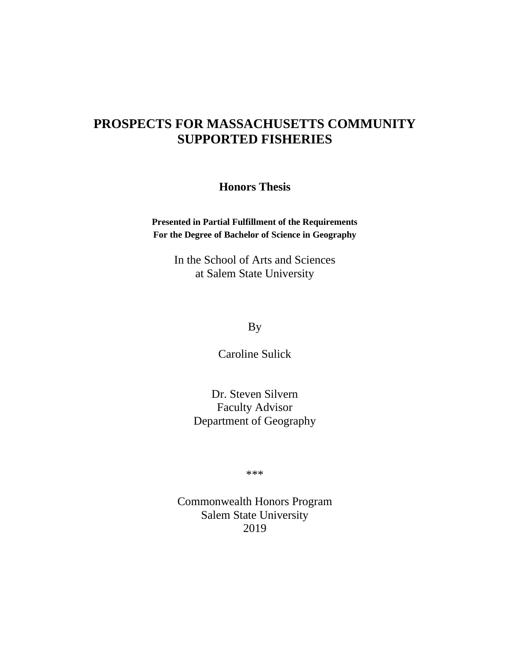## **PROSPECTS FOR MASSACHUSETTS COMMUNITY SUPPORTED FISHERIES**

**Honors Thesis**

**Presented in Partial Fulfillment of the Requirements For the Degree of Bachelor of Science in Geography**

> In the School of Arts and Sciences at Salem State University

> > By

Caroline Sulick

Dr. Steven Silvern Faculty Advisor Department of Geography

\*\*\*

Commonwealth Honors Program Salem State University 2019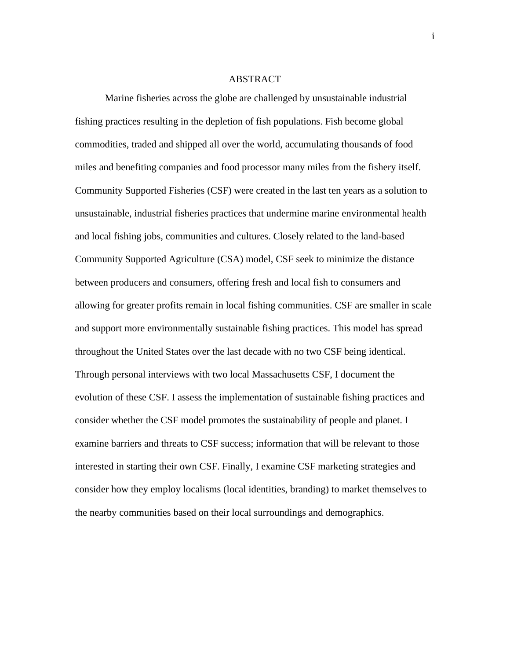### ABSTRACT

Marine fisheries across the globe are challenged by unsustainable industrial fishing practices resulting in the depletion of fish populations. Fish become global commodities, traded and shipped all over the world, accumulating thousands of food miles and benefiting companies and food processor many miles from the fishery itself. Community Supported Fisheries (CSF) were created in the last ten years as a solution to unsustainable, industrial fisheries practices that undermine marine environmental health and local fishing jobs, communities and cultures. Closely related to the land-based Community Supported Agriculture (CSA) model, CSF seek to minimize the distance between producers and consumers, offering fresh and local fish to consumers and allowing for greater profits remain in local fishing communities. CSF are smaller in scale and support more environmentally sustainable fishing practices. This model has spread throughout the United States over the last decade with no two CSF being identical. Through personal interviews with two local Massachusetts CSF, I document the evolution of these CSF. I assess the implementation of sustainable fishing practices and consider whether the CSF model promotes the sustainability of people and planet. I examine barriers and threats to CSF success; information that will be relevant to those interested in starting their own CSF. Finally, I examine CSF marketing strategies and consider how they employ localisms (local identities, branding) to market themselves to the nearby communities based on their local surroundings and demographics.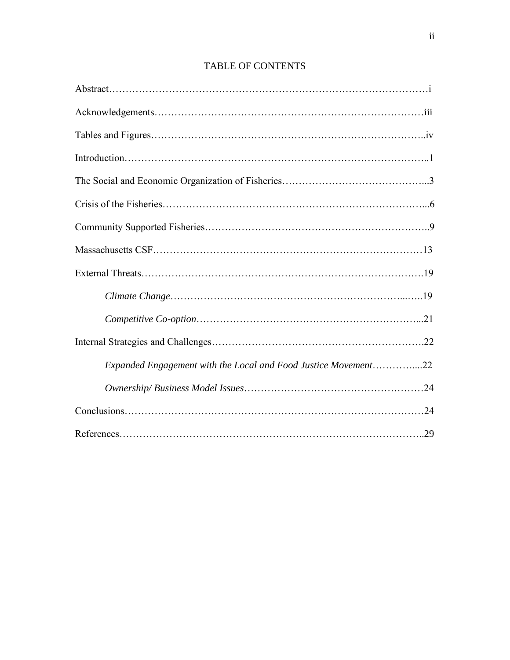| Expanded Engagement with the Local and Food Justice Movement22 |  |
|----------------------------------------------------------------|--|
|                                                                |  |
|                                                                |  |
|                                                                |  |

## TABLE OF CONTENTS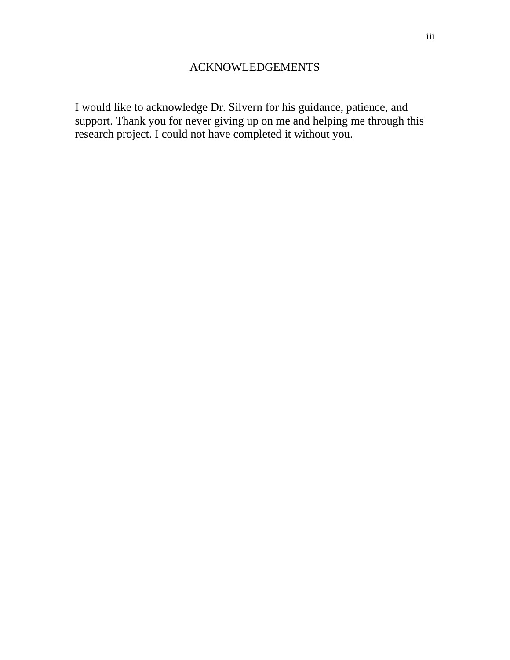I would like to acknowledge Dr. Silvern for his guidance, patience, and support. Thank you for never giving up on me and helping me through this research project. I could not have completed it without you.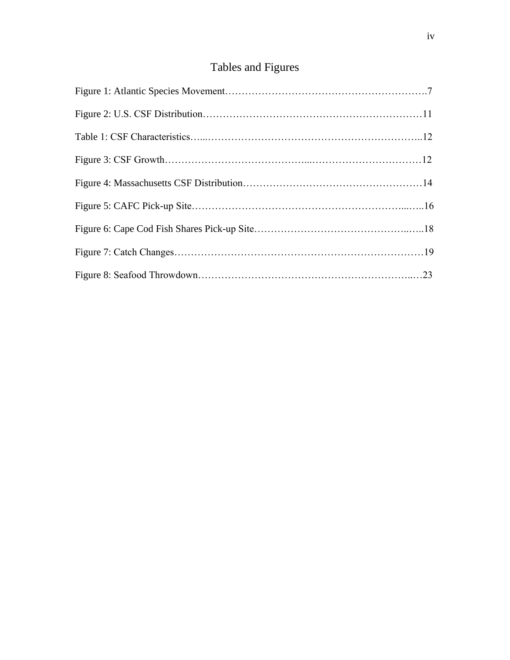# Tables and Figures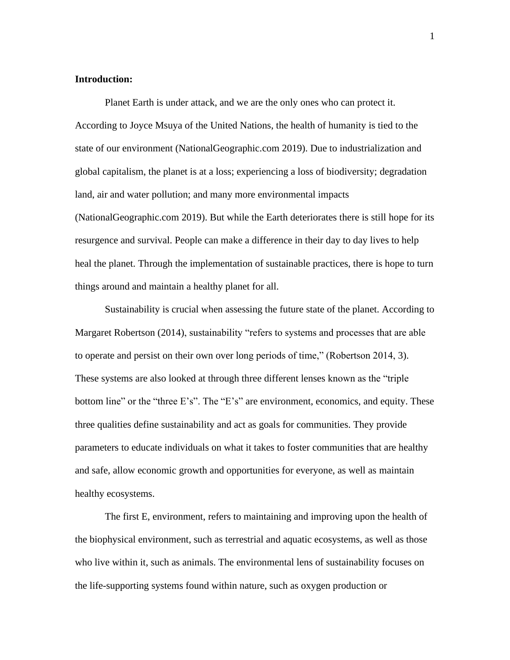## **Introduction:**

Planet Earth is under attack, and we are the only ones who can protect it. According to Joyce Msuya of the United Nations, the health of humanity is tied to the state of our environment (NationalGeographic.com 2019). Due to industrialization and global capitalism, the planet is at a loss; experiencing a loss of biodiversity; degradation land, air and water pollution; and many more environmental impacts (NationalGeographic.com 2019). But while the Earth deteriorates there is still hope for its resurgence and survival. People can make a difference in their day to day lives to help heal the planet. Through the implementation of sustainable practices, there is hope to turn things around and maintain a healthy planet for all.

Sustainability is crucial when assessing the future state of the planet. According to Margaret Robertson (2014), sustainability "refers to systems and processes that are able to operate and persist on their own over long periods of time," (Robertson 2014, 3). These systems are also looked at through three different lenses known as the "triple bottom line" or the "three E's". The "E's" are environment, economics, and equity. These three qualities define sustainability and act as goals for communities. They provide parameters to educate individuals on what it takes to foster communities that are healthy and safe, allow economic growth and opportunities for everyone, as well as maintain healthy ecosystems.

The first E, environment, refers to maintaining and improving upon the health of the biophysical environment, such as terrestrial and aquatic ecosystems, as well as those who live within it, such as animals. The environmental lens of sustainability focuses on the life-supporting systems found within nature, such as oxygen production or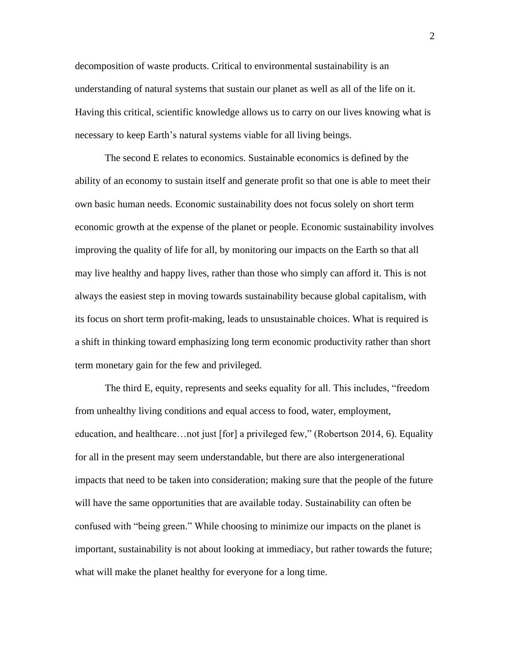decomposition of waste products. Critical to environmental sustainability is an understanding of natural systems that sustain our planet as well as all of the life on it. Having this critical, scientific knowledge allows us to carry on our lives knowing what is necessary to keep Earth's natural systems viable for all living beings.

The second E relates to economics. Sustainable economics is defined by the ability of an economy to sustain itself and generate profit so that one is able to meet their own basic human needs. Economic sustainability does not focus solely on short term economic growth at the expense of the planet or people. Economic sustainability involves improving the quality of life for all, by monitoring our impacts on the Earth so that all may live healthy and happy lives, rather than those who simply can afford it. This is not always the easiest step in moving towards sustainability because global capitalism, with its focus on short term profit-making, leads to unsustainable choices. What is required is a shift in thinking toward emphasizing long term economic productivity rather than short term monetary gain for the few and privileged.

The third E, equity, represents and seeks equality for all. This includes, "freedom from unhealthy living conditions and equal access to food, water, employment, education, and healthcare…not just [for] a privileged few," (Robertson 2014, 6). Equality for all in the present may seem understandable, but there are also intergenerational impacts that need to be taken into consideration; making sure that the people of the future will have the same opportunities that are available today. Sustainability can often be confused with "being green." While choosing to minimize our impacts on the planet is important, sustainability is not about looking at immediacy, but rather towards the future; what will make the planet healthy for everyone for a long time.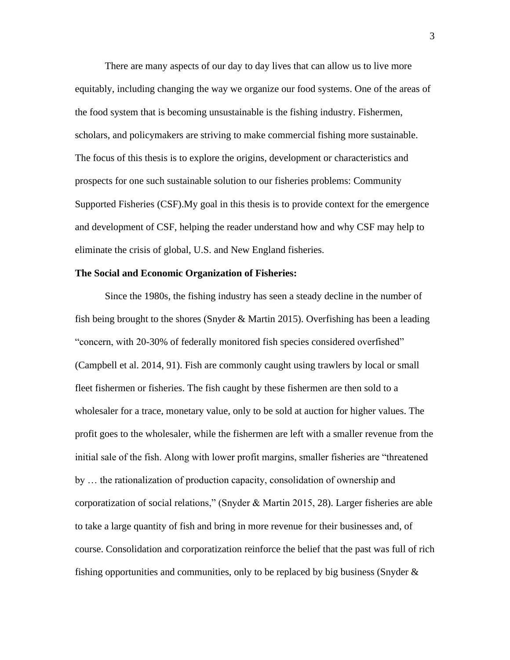There are many aspects of our day to day lives that can allow us to live more equitably, including changing the way we organize our food systems. One of the areas of the food system that is becoming unsustainable is the fishing industry. Fishermen, scholars, and policymakers are striving to make commercial fishing more sustainable. The focus of this thesis is to explore the origins, development or characteristics and prospects for one such sustainable solution to our fisheries problems: Community Supported Fisheries (CSF).My goal in this thesis is to provide context for the emergence and development of CSF, helping the reader understand how and why CSF may help to eliminate the crisis of global, U.S. and New England fisheries.

#### **The Social and Economic Organization of Fisheries:**

Since the 1980s, the fishing industry has seen a steady decline in the number of fish being brought to the shores (Snyder & Martin 2015). Overfishing has been a leading "concern, with 20-30% of federally monitored fish species considered overfished" (Campbell et al. 2014, 91). Fish are commonly caught using trawlers by local or small fleet fishermen or fisheries. The fish caught by these fishermen are then sold to a wholesaler for a trace, monetary value, only to be sold at auction for higher values. The profit goes to the wholesaler, while the fishermen are left with a smaller revenue from the initial sale of the fish. Along with lower profit margins, smaller fisheries are "threatened by … the rationalization of production capacity, consolidation of ownership and corporatization of social relations," (Snyder & Martin 2015, 28). Larger fisheries are able to take a large quantity of fish and bring in more revenue for their businesses and, of course. Consolidation and corporatization reinforce the belief that the past was full of rich fishing opportunities and communities, only to be replaced by big business (Snyder  $\&$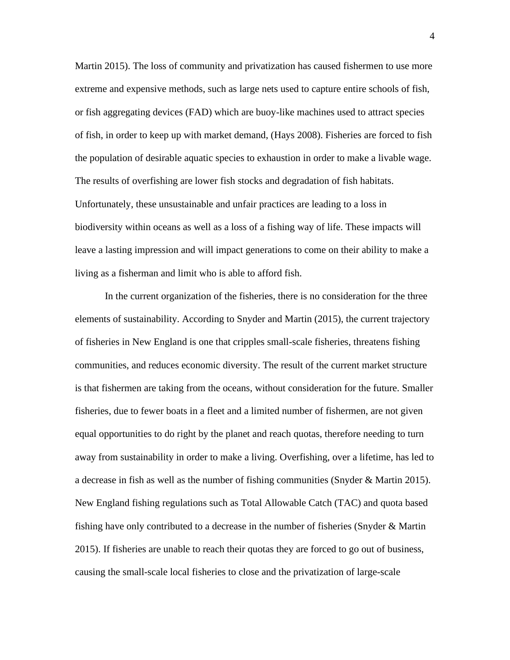Martin 2015). The loss of community and privatization has caused fishermen to use more extreme and expensive methods, such as large nets used to capture entire schools of fish, or fish aggregating devices (FAD) which are buoy-like machines used to attract species of fish, in order to keep up with market demand, (Hays 2008). Fisheries are forced to fish the population of desirable aquatic species to exhaustion in order to make a livable wage. The results of overfishing are lower fish stocks and degradation of fish habitats. Unfortunately, these unsustainable and unfair practices are leading to a loss in biodiversity within oceans as well as a loss of a fishing way of life. These impacts will leave a lasting impression and will impact generations to come on their ability to make a living as a fisherman and limit who is able to afford fish.

In the current organization of the fisheries, there is no consideration for the three elements of sustainability. According to Snyder and Martin (2015), the current trajectory of fisheries in New England is one that cripples small-scale fisheries, threatens fishing communities, and reduces economic diversity. The result of the current market structure is that fishermen are taking from the oceans, without consideration for the future. Smaller fisheries, due to fewer boats in a fleet and a limited number of fishermen, are not given equal opportunities to do right by the planet and reach quotas, therefore needing to turn away from sustainability in order to make a living. Overfishing, over a lifetime, has led to a decrease in fish as well as the number of fishing communities (Snyder & Martin 2015). New England fishing regulations such as Total Allowable Catch (TAC) and quota based fishing have only contributed to a decrease in the number of fisheries (Snyder & Martin 2015). If fisheries are unable to reach their quotas they are forced to go out of business, causing the small-scale local fisheries to close and the privatization of large-scale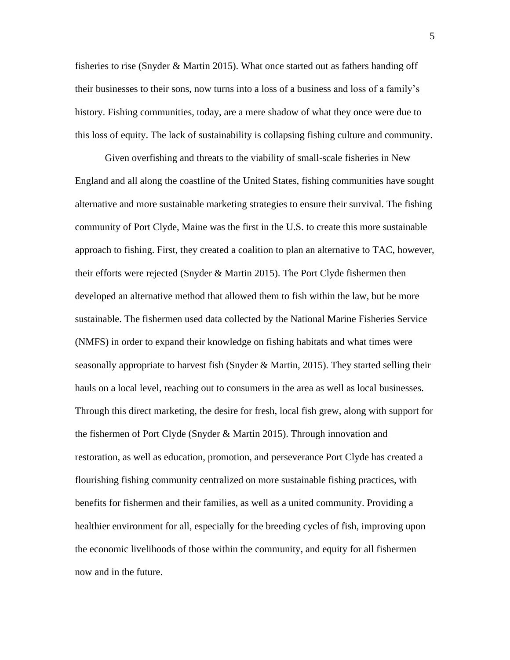fisheries to rise (Snyder & Martin 2015). What once started out as fathers handing off their businesses to their sons, now turns into a loss of a business and loss of a family's history. Fishing communities, today, are a mere shadow of what they once were due to this loss of equity. The lack of sustainability is collapsing fishing culture and community.

Given overfishing and threats to the viability of small-scale fisheries in New England and all along the coastline of the United States, fishing communities have sought alternative and more sustainable marketing strategies to ensure their survival. The fishing community of Port Clyde, Maine was the first in the U.S. to create this more sustainable approach to fishing. First, they created a coalition to plan an alternative to TAC, however, their efforts were rejected (Snyder & Martin 2015). The Port Clyde fishermen then developed an alternative method that allowed them to fish within the law, but be more sustainable. The fishermen used data collected by the National Marine Fisheries Service (NMFS) in order to expand their knowledge on fishing habitats and what times were seasonally appropriate to harvest fish (Snyder & Martin, 2015). They started selling their hauls on a local level, reaching out to consumers in the area as well as local businesses. Through this direct marketing, the desire for fresh, local fish grew, along with support for the fishermen of Port Clyde (Snyder & Martin 2015). Through innovation and restoration, as well as education, promotion, and perseverance Port Clyde has created a flourishing fishing community centralized on more sustainable fishing practices, with benefits for fishermen and their families, as well as a united community. Providing a healthier environment for all, especially for the breeding cycles of fish, improving upon the economic livelihoods of those within the community, and equity for all fishermen now and in the future.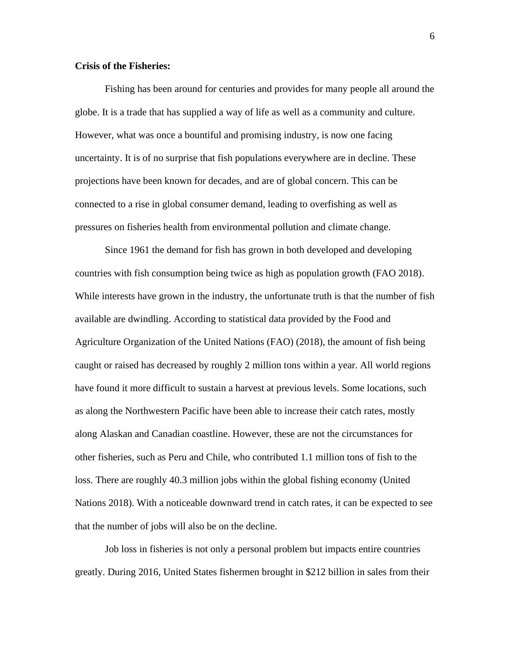## **Crisis of the Fisheries:**

Fishing has been around for centuries and provides for many people all around the globe. It is a trade that has supplied a way of life as well as a community and culture. However, what was once a bountiful and promising industry, is now one facing uncertainty. It is of no surprise that fish populations everywhere are in decline. These projections have been known for decades, and are of global concern. This can be connected to a rise in global consumer demand, leading to overfishing as well as pressures on fisheries health from environmental pollution and climate change.

Since 1961 the demand for fish has grown in both developed and developing countries with fish consumption being twice as high as population growth (FAO 2018). While interests have grown in the industry, the unfortunate truth is that the number of fish available are dwindling. According to statistical data provided by the Food and Agriculture Organization of the United Nations (FAO) (2018), the amount of fish being caught or raised has decreased by roughly 2 million tons within a year. All world regions have found it more difficult to sustain a harvest at previous levels. Some locations, such as along the Northwestern Pacific have been able to increase their catch rates, mostly along Alaskan and Canadian coastline. However, these are not the circumstances for other fisheries, such as Peru and Chile, who contributed 1.1 million tons of fish to the loss. There are roughly 40.3 million jobs within the global fishing economy (United Nations 2018). With a noticeable downward trend in catch rates, it can be expected to see that the number of jobs will also be on the decline.

Job loss in fisheries is not only a personal problem but impacts entire countries greatly. During 2016, United States fishermen brought in \$212 billion in sales from their

6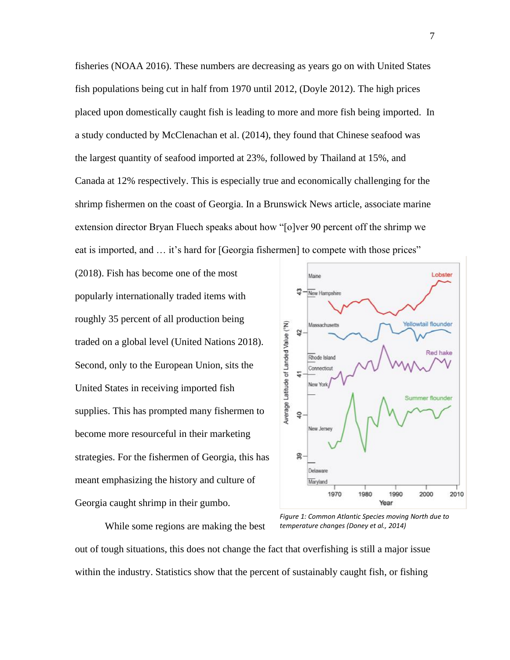fisheries (NOAA 2016). These numbers are decreasing as years go on with United States fish populations being cut in half from 1970 until 2012, (Doyle 2012). The high prices placed upon domestically caught fish is leading to more and more fish being imported. In a study conducted by McClenachan et al. (2014), they found that Chinese seafood was the largest quantity of seafood imported at 23%, followed by Thailand at 15%, and Canada at 12% respectively. This is especially true and economically challenging for the shrimp fishermen on the coast of Georgia. In a Brunswick News article, associate marine extension director Bryan Fluech speaks about how "[o]ver 90 percent off the shrimp we eat is imported, and … it's hard for [Georgia fishermen] to compete with those prices"

(2018). Fish has become one of the most popularly internationally traded items with roughly 35 percent of all production being traded on a global level (United Nations 2018). Second, only to the European Union, sits the United States in receiving imported fish supplies. This has prompted many fishermen to become more resourceful in their marketing strategies. For the fishermen of Georgia, this has meant emphasizing the history and culture of Georgia caught shrimp in their gumbo.



While some regions are making the best

*Figure 1: Common Atlantic Species moving North due to temperature changes (Doney et al., 2014)*

out of tough situations, this does not change the fact that overfishing is still a major issue

within the industry. Statistics show that the percent of sustainably caught fish, or fishing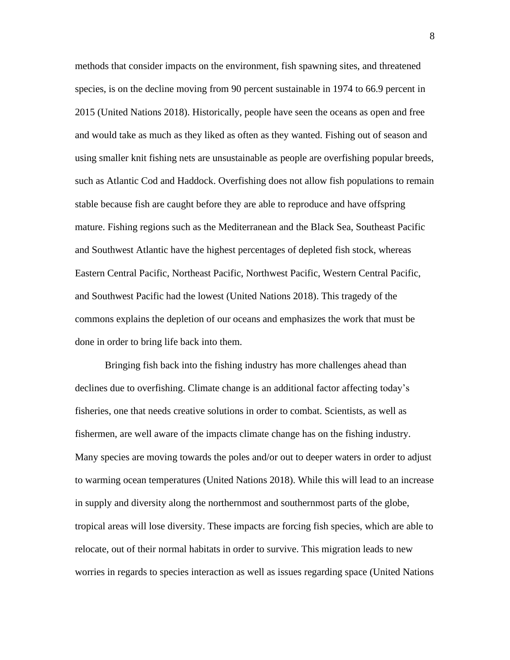methods that consider impacts on the environment, fish spawning sites, and threatened species, is on the decline moving from 90 percent sustainable in 1974 to 66.9 percent in 2015 (United Nations 2018). Historically, people have seen the oceans as open and free and would take as much as they liked as often as they wanted. Fishing out of season and using smaller knit fishing nets are unsustainable as people are overfishing popular breeds, such as Atlantic Cod and Haddock. Overfishing does not allow fish populations to remain stable because fish are caught before they are able to reproduce and have offspring mature. Fishing regions such as the Mediterranean and the Black Sea, Southeast Pacific and Southwest Atlantic have the highest percentages of depleted fish stock, whereas Eastern Central Pacific, Northeast Pacific, Northwest Pacific, Western Central Pacific, and Southwest Pacific had the lowest (United Nations 2018). This tragedy of the commons explains the depletion of our oceans and emphasizes the work that must be done in order to bring life back into them.

Bringing fish back into the fishing industry has more challenges ahead than declines due to overfishing. Climate change is an additional factor affecting today's fisheries, one that needs creative solutions in order to combat. Scientists, as well as fishermen, are well aware of the impacts climate change has on the fishing industry. Many species are moving towards the poles and/or out to deeper waters in order to adjust to warming ocean temperatures (United Nations 2018). While this will lead to an increase in supply and diversity along the northernmost and southernmost parts of the globe, tropical areas will lose diversity. These impacts are forcing fish species, which are able to relocate, out of their normal habitats in order to survive. This migration leads to new worries in regards to species interaction as well as issues regarding space (United Nations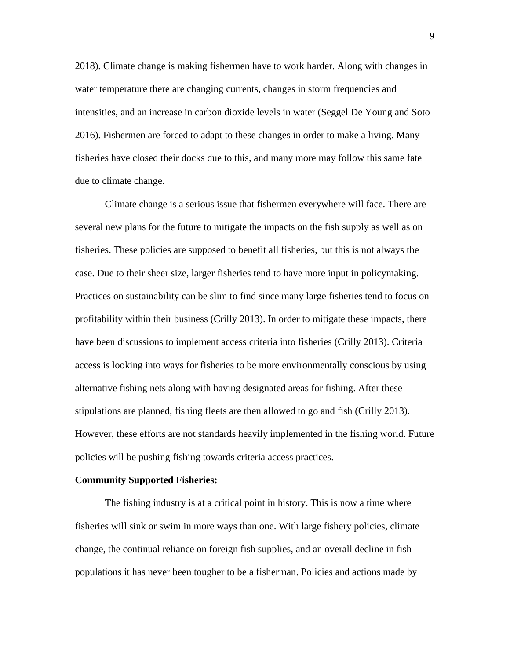2018). Climate change is making fishermen have to work harder. Along with changes in water temperature there are changing currents, changes in storm frequencies and intensities, and an increase in carbon dioxide levels in water (Seggel De Young and Soto 2016). Fishermen are forced to adapt to these changes in order to make a living. Many fisheries have closed their docks due to this, and many more may follow this same fate due to climate change.

Climate change is a serious issue that fishermen everywhere will face. There are several new plans for the future to mitigate the impacts on the fish supply as well as on fisheries. These policies are supposed to benefit all fisheries, but this is not always the case. Due to their sheer size, larger fisheries tend to have more input in policymaking. Practices on sustainability can be slim to find since many large fisheries tend to focus on profitability within their business (Crilly 2013). In order to mitigate these impacts, there have been discussions to implement access criteria into fisheries (Crilly 2013). Criteria access is looking into ways for fisheries to be more environmentally conscious by using alternative fishing nets along with having designated areas for fishing. After these stipulations are planned, fishing fleets are then allowed to go and fish (Crilly 2013). However, these efforts are not standards heavily implemented in the fishing world. Future policies will be pushing fishing towards criteria access practices.

#### **Community Supported Fisheries:**

The fishing industry is at a critical point in history. This is now a time where fisheries will sink or swim in more ways than one. With large fishery policies, climate change, the continual reliance on foreign fish supplies, and an overall decline in fish populations it has never been tougher to be a fisherman. Policies and actions made by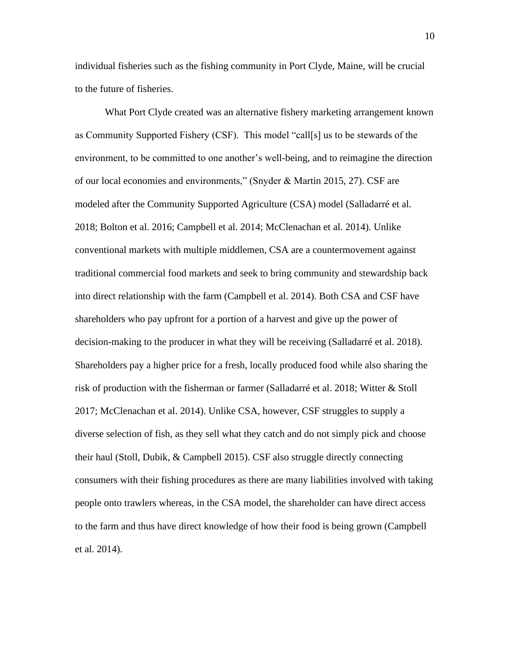individual fisheries such as the fishing community in Port Clyde, Maine, will be crucial to the future of fisheries.

What Port Clyde created was an alternative fishery marketing arrangement known as Community Supported Fishery (CSF). This model "call[s] us to be stewards of the environment, to be committed to one another's well-being, and to reimagine the direction of our local economies and environments," (Snyder & Martin 2015, 27). CSF are modeled after the Community Supported Agriculture (CSA) model (Salladarré et al. 2018; Bolton et al. 2016; Campbell et al. 2014; McClenachan et al. 2014). Unlike conventional markets with multiple middlemen, CSA are a countermovement against traditional commercial food markets and seek to bring community and stewardship back into direct relationship with the farm (Campbell et al. 2014). Both CSA and CSF have shareholders who pay upfront for a portion of a harvest and give up the power of decision-making to the producer in what they will be receiving (Salladarré et al. 2018). Shareholders pay a higher price for a fresh, locally produced food while also sharing the risk of production with the fisherman or farmer (Salladarré et al. 2018; Witter & Stoll 2017; McClenachan et al. 2014). Unlike CSA, however, CSF struggles to supply a diverse selection of fish, as they sell what they catch and do not simply pick and choose their haul (Stoll, Dubik, & Campbell 2015). CSF also struggle directly connecting consumers with their fishing procedures as there are many liabilities involved with taking people onto trawlers whereas, in the CSA model, the shareholder can have direct access to the farm and thus have direct knowledge of how their food is being grown (Campbell et al. 2014).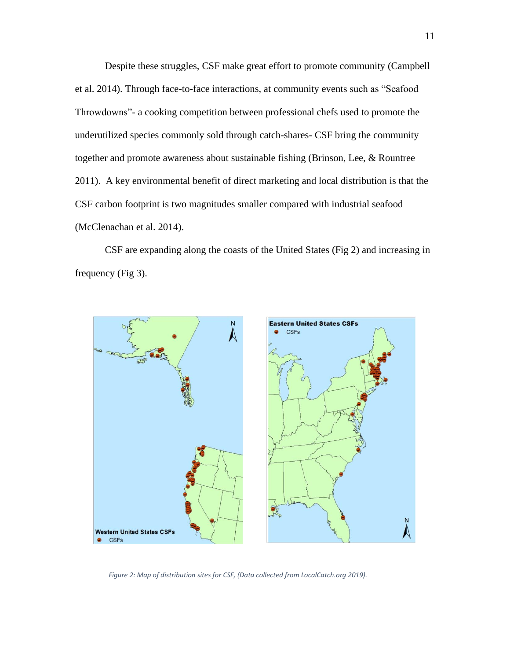Despite these struggles, CSF make great effort to promote community (Campbell et al. 2014). Through face-to-face interactions, at community events such as "Seafood Throwdowns"- a cooking competition between professional chefs used to promote the underutilized species commonly sold through catch-shares- CSF bring the community together and promote awareness about sustainable fishing (Brinson, Lee, & Rountree 2011). A key environmental benefit of direct marketing and local distribution is that the CSF carbon footprint is two magnitudes smaller compared with industrial seafood (McClenachan et al. 2014).

CSF are expanding along the coasts of the United States (Fig 2) and increasing in frequency (Fig 3).



*Figure 2: Map of distribution sites for CSF, (Data collected from LocalCatch.org 2019).*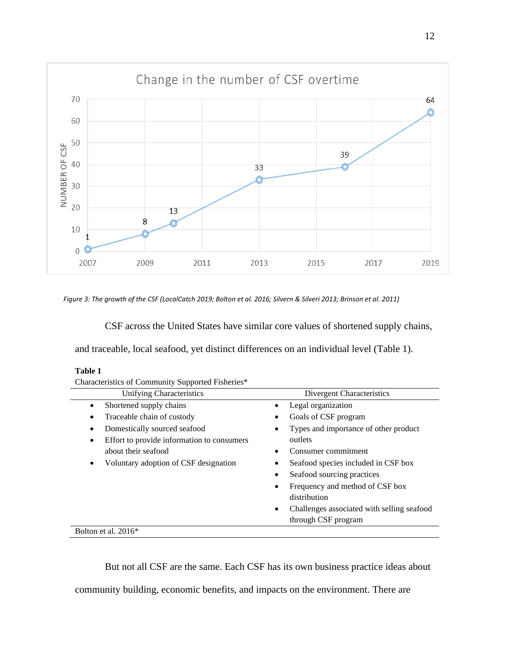

*Figure 3: The growth of the CSF (LocalCatch 2019; Bolton et al. 2016; Silvern & Silveri 2013; Brinson et al. 2011)*

CSF across the United States have similar core values of shortened supply chains,

and traceable, local seafood, yet distinct differences on an individual level (Table 1).

| L<br>н |  |
|--------|--|
|        |  |

| Table 1                                           |                                                         |
|---------------------------------------------------|---------------------------------------------------------|
| Characteristics of Community Supported Fisheries* |                                                         |
| Unifying Characteristics                          | Divergent Characteristics                               |
| Shortened supply chains<br>٠                      | Legal organization<br>$\bullet$                         |
| Traceable chain of custody<br>٠                   | Goals of CSF program<br>٠                               |
| Domestically sourced seafood<br>٠                 | Types and importance of other product<br>$\bullet$      |
| Effort to provide information to consumers<br>٠   | outlets                                                 |
| about their seafood                               | Consumer commitment                                     |
| Voluntary adoption of CSF designation<br>٠        | Seafood species included in CSF box                     |
|                                                   | Seafood sourcing practices<br>٠                         |
|                                                   | Frequency and method of CSF box<br>٠                    |
|                                                   | distribution                                            |
|                                                   | Challenges associated with selling seafood<br>$\bullet$ |
|                                                   | through CSF program                                     |

Bolton et al. 2016\*

But not all CSF are the same. Each CSF has its own business practice ideas about

community building, economic benefits, and impacts on the environment. There are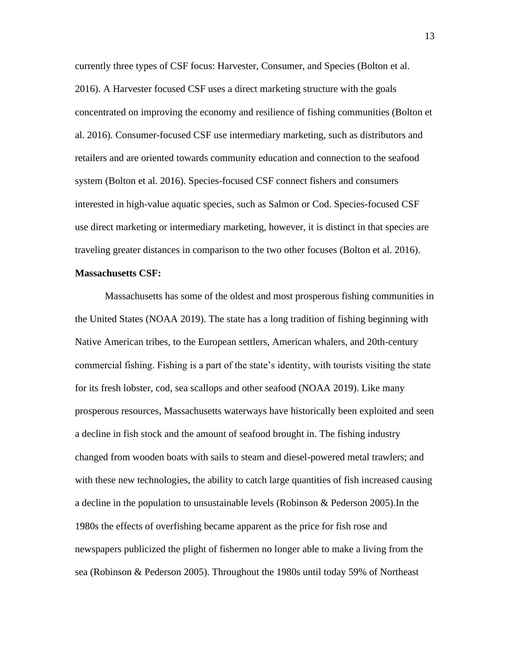currently three types of CSF focus: Harvester, Consumer, and Species (Bolton et al. 2016). A Harvester focused CSF uses a direct marketing structure with the goals concentrated on improving the economy and resilience of fishing communities (Bolton et al. 2016). Consumer-focused CSF use intermediary marketing, such as distributors and retailers and are oriented towards community education and connection to the seafood system (Bolton et al. 2016). Species-focused CSF connect fishers and consumers interested in high-value aquatic species, such as Salmon or Cod. Species-focused CSF use direct marketing or intermediary marketing, however, it is distinct in that species are traveling greater distances in comparison to the two other focuses (Bolton et al. 2016).

### **Massachusetts CSF:**

Massachusetts has some of the oldest and most prosperous fishing communities in the United States (NOAA 2019). The state has a long tradition of fishing beginning with Native American tribes, to the European settlers, American whalers, and 20th-century commercial fishing. Fishing is a part of the state's identity, with tourists visiting the state for its fresh lobster, cod, sea scallops and other seafood (NOAA 2019). Like many prosperous resources, Massachusetts waterways have historically been exploited and seen a decline in fish stock and the amount of seafood brought in. The fishing industry changed from wooden boats with sails to steam and diesel-powered metal trawlers; and with these new technologies, the ability to catch large quantities of fish increased causing a decline in the population to unsustainable levels (Robinson & Pederson 2005).In the 1980s the effects of overfishing became apparent as the price for fish rose and newspapers publicized the plight of fishermen no longer able to make a living from the sea (Robinson & Pederson 2005). Throughout the 1980s until today 59% of Northeast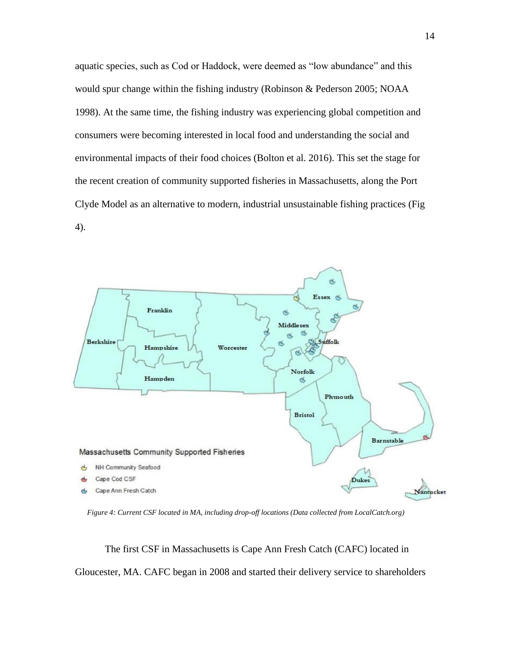aquatic species, such as Cod or Haddock, were deemed as "low abundance" and this would spur change within the fishing industry (Robinson & Pederson 2005; NOAA 1998). At the same time, the fishing industry was experiencing global competition and consumers were becoming interested in local food and understanding the social and environmental impacts of their food choices (Bolton et al. 2016). This set the stage for the recent creation of community supported fisheries in Massachusetts, along the Port Clyde Model as an alternative to modern, industrial unsustainable fishing practices (Fig 4).



*Figure 4: Current CSF located in MA, including drop-off locations (Data collected from LocalCatch.org)*

The first CSF in Massachusetts is Cape Ann Fresh Catch (CAFC) located in Gloucester, MA. CAFC began in 2008 and started their delivery service to shareholders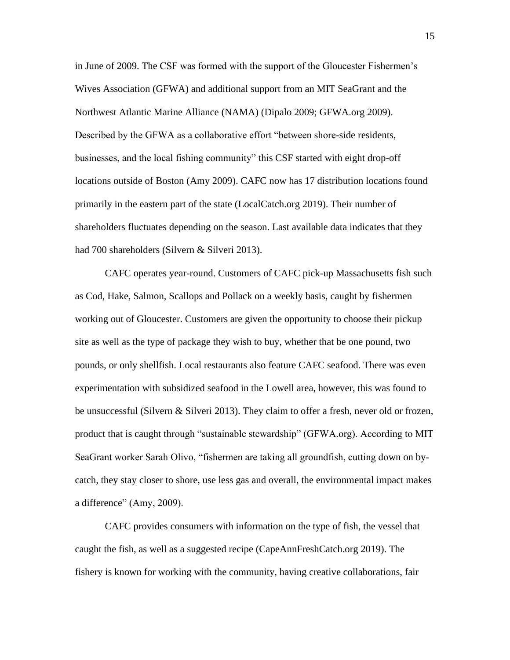in June of 2009. The CSF was formed with the support of the Gloucester Fishermen's Wives Association (GFWA) and additional support from an MIT SeaGrant and the Northwest Atlantic Marine Alliance (NAMA) (Dipalo 2009; GFWA.org 2009). Described by the GFWA as a collaborative effort "between shore-side residents, businesses, and the local fishing community" this CSF started with eight drop-off locations outside of Boston (Amy 2009). CAFC now has 17 distribution locations found primarily in the eastern part of the state (LocalCatch.org 2019). Their number of shareholders fluctuates depending on the season. Last available data indicates that they had 700 shareholders (Silvern & Silveri 2013).

CAFC operates year-round. Customers of CAFC pick-up Massachusetts fish such as Cod, Hake, Salmon, Scallops and Pollack on a weekly basis, caught by fishermen working out of Gloucester. Customers are given the opportunity to choose their pickup site as well as the type of package they wish to buy, whether that be one pound, two pounds, or only shellfish. Local restaurants also feature CAFC seafood. There was even experimentation with subsidized seafood in the Lowell area, however, this was found to be unsuccessful (Silvern & Silveri 2013). They claim to offer a fresh, never old or frozen, product that is caught through "sustainable stewardship" (GFWA.org). According to MIT SeaGrant worker Sarah Olivo, "fishermen are taking all groundfish, cutting down on bycatch, they stay closer to shore, use less gas and overall, the environmental impact makes a difference" (Amy, 2009).

CAFC provides consumers with information on the type of fish, the vessel that caught the fish, as well as a suggested recipe (CapeAnnFreshCatch.org 2019). The fishery is known for working with the community, having creative collaborations, fair

15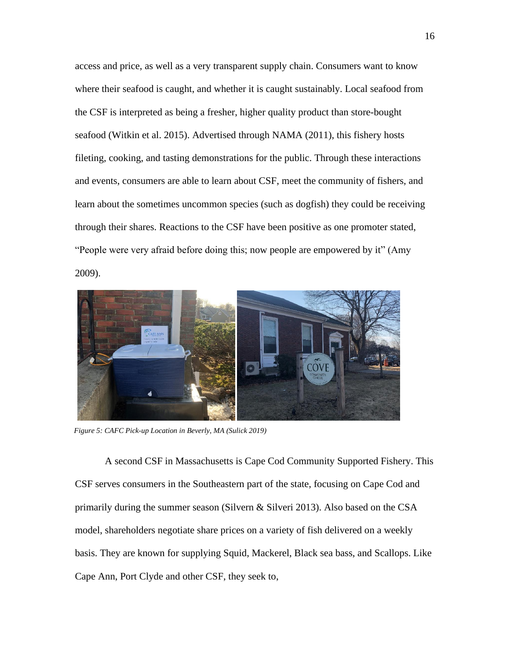access and price, as well as a very transparent supply chain. Consumers want to know where their seafood is caught, and whether it is caught sustainably. Local seafood from the CSF is interpreted as being a fresher, higher quality product than store-bought seafood (Witkin et al. 2015). Advertised through NAMA (2011), this fishery hosts fileting, cooking, and tasting demonstrations for the public. Through these interactions and events, consumers are able to learn about CSF, meet the community of fishers, and learn about the sometimes uncommon species (such as dogfish) they could be receiving through their shares. Reactions to the CSF have been positive as one promoter stated, "People were very afraid before doing this; now people are empowered by it" (Amy 2009).



*Figure 5: CAFC Pick-up Location in Beverly, MA (Sulick 2019)*

A second CSF in Massachusetts is Cape Cod Community Supported Fishery. This CSF serves consumers in the Southeastern part of the state, focusing on Cape Cod and primarily during the summer season (Silvern & Silveri 2013). Also based on the CSA model, shareholders negotiate share prices on a variety of fish delivered on a weekly basis. They are known for supplying Squid, Mackerel, Black sea bass, and Scallops. Like Cape Ann, Port Clyde and other CSF, they seek to,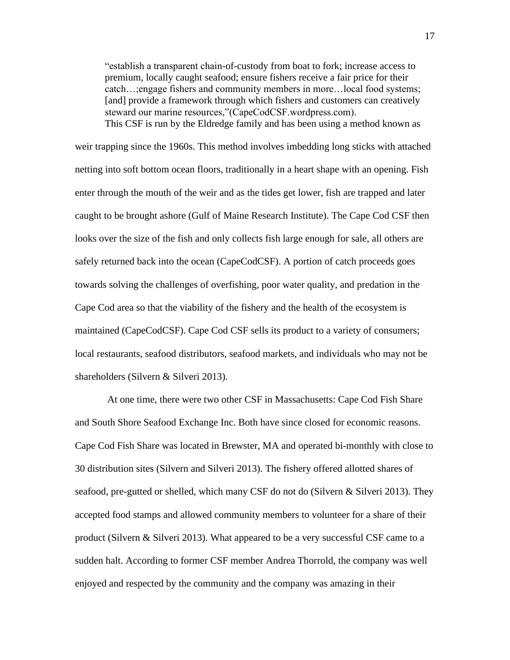"establish a transparent chain-of-custody from boat to fork; increase access to premium, locally caught seafood; ensure fishers receive a fair price for their catch…;engage fishers and community members in more…local food systems; [and] provide a framework through which fishers and customers can creatively steward our marine resources,"(CapeCodCSF.wordpress.com). This CSF is run by the Eldredge family and has been using a method known as

weir trapping since the 1960s. This method involves imbedding long sticks with attached netting into soft bottom ocean floors, traditionally in a heart shape with an opening. Fish enter through the mouth of the weir and as the tides get lower, fish are trapped and later caught to be brought ashore (Gulf of Maine Research Institute). The Cape Cod CSF then looks over the size of the fish and only collects fish large enough for sale, all others are safely returned back into the ocean (CapeCodCSF). A portion of catch proceeds goes towards solving the challenges of overfishing, poor water quality, and predation in the Cape Cod area so that the viability of the fishery and the health of the ecosystem is maintained (CapeCodCSF). Cape Cod CSF sells its product to a variety of consumers; local restaurants, seafood distributors, seafood markets, and individuals who may not be shareholders (Silvern & Silveri 2013).

At one time, there were two other CSF in Massachusetts: Cape Cod Fish Share and South Shore Seafood Exchange Inc. Both have since closed for economic reasons. Cape Cod Fish Share was located in Brewster, MA and operated bi-monthly with close to 30 distribution sites (Silvern and Silveri 2013). The fishery offered allotted shares of seafood, pre-gutted or shelled, which many CSF do not do (Silvern & Silveri 2013). They accepted food stamps and allowed community members to volunteer for a share of their product (Silvern & Silveri 2013). What appeared to be a very successful CSF came to a sudden halt. According to former CSF member Andrea Thorrold, the company was well enjoyed and respected by the community and the company was amazing in their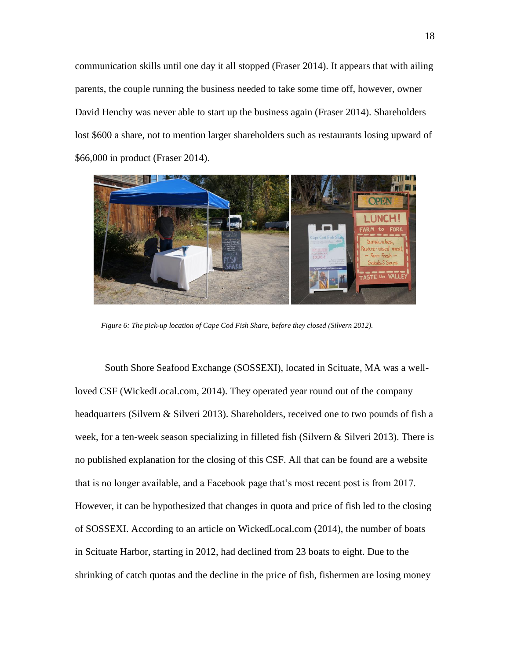communication skills until one day it all stopped (Fraser 2014). It appears that with ailing parents, the couple running the business needed to take some time off, however, owner David Henchy was never able to start up the business again (Fraser 2014). Shareholders lost \$600 a share, not to mention larger shareholders such as restaurants losing upward of \$66,000 in product (Fraser 2014).



*Figure 6: The pick-up location of Cape Cod Fish Share, before they closed (Silvern 2012).* 

South Shore Seafood Exchange (SOSSEXI), located in Scituate, MA was a wellloved CSF (WickedLocal.com, 2014). They operated year round out of the company headquarters (Silvern & Silveri 2013). Shareholders, received one to two pounds of fish a week, for a ten-week season specializing in filleted fish (Silvern & Silveri 2013). There is no published explanation for the closing of this CSF. All that can be found are a website that is no longer available, and a Facebook page that's most recent post is from 2017. However, it can be hypothesized that changes in quota and price of fish led to the closing of SOSSEXI. According to an article on WickedLocal.com (2014), the number of boats in Scituate Harbor, starting in 2012, had declined from 23 boats to eight. Due to the shrinking of catch quotas and the decline in the price of fish, fishermen are losing money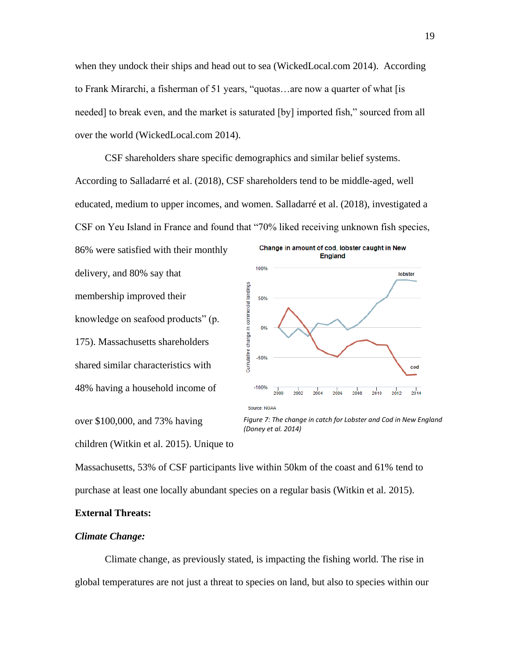when they undock their ships and head out to sea (WickedLocal.com 2014). According to Frank Mirarchi, a fisherman of 51 years, "quotas…are now a quarter of what [is needed] to break even, and the market is saturated [by] imported fish," sourced from all over the world (WickedLocal.com 2014).

CSF shareholders share specific demographics and similar belief systems. According to Salladarré et al. (2018), CSF shareholders tend to be middle-aged, well educated, medium to upper incomes, and women. Salladarré et al. (2018), investigated a CSF on Yeu Island in France and found that "70% liked receiving unknown fish species,

86% were satisfied with their monthly delivery, and 80% say that membership improved their knowledge on seafood products" (p. 175). Massachusetts shareholders shared similar characteristics with 48% having a household income of



over \$100,000, and 73% having children (Witkin et al. 2015). Unique to

*Figure 7: The change in catch for Lobster and Cod in New England (Doney et al. 2014)*

Massachusetts, 53% of CSF participants live within 50km of the coast and 61% tend to purchase at least one locally abundant species on a regular basis (Witkin et al. 2015).

## **External Threats:**

## *Climate Change:*

Climate change, as previously stated, is impacting the fishing world. The rise in global temperatures are not just a threat to species on land, but also to species within our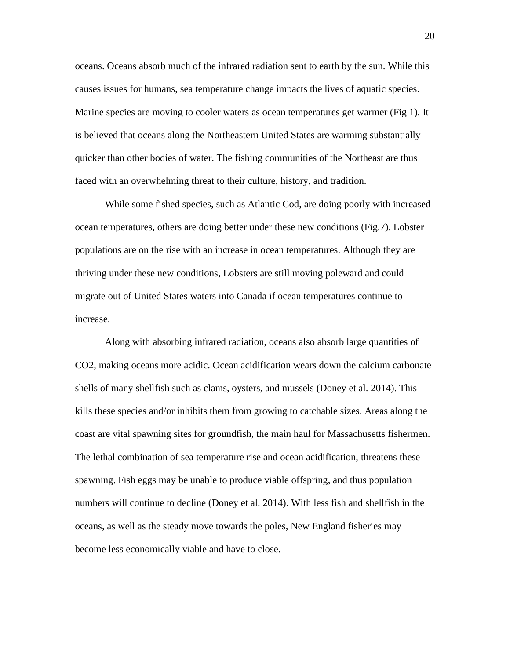oceans. Oceans absorb much of the infrared radiation sent to earth by the sun. While this causes issues for humans, sea temperature change impacts the lives of aquatic species. Marine species are moving to cooler waters as ocean temperatures get warmer (Fig 1). It is believed that oceans along the Northeastern United States are warming substantially quicker than other bodies of water. The fishing communities of the Northeast are thus faced with an overwhelming threat to their culture, history, and tradition.

While some fished species, such as Atlantic Cod, are doing poorly with increased ocean temperatures, others are doing better under these new conditions (Fig.7). Lobster populations are on the rise with an increase in ocean temperatures. Although they are thriving under these new conditions, Lobsters are still moving poleward and could migrate out of United States waters into Canada if ocean temperatures continue to increase.

Along with absorbing infrared radiation, oceans also absorb large quantities of CO2, making oceans more acidic. Ocean acidification wears down the calcium carbonate shells of many shellfish such as clams, oysters, and mussels (Doney et al. 2014). This kills these species and/or inhibits them from growing to catchable sizes. Areas along the coast are vital spawning sites for groundfish, the main haul for Massachusetts fishermen. The lethal combination of sea temperature rise and ocean acidification, threatens these spawning. Fish eggs may be unable to produce viable offspring, and thus population numbers will continue to decline (Doney et al. 2014). With less fish and shellfish in the oceans, as well as the steady move towards the poles, New England fisheries may become less economically viable and have to close.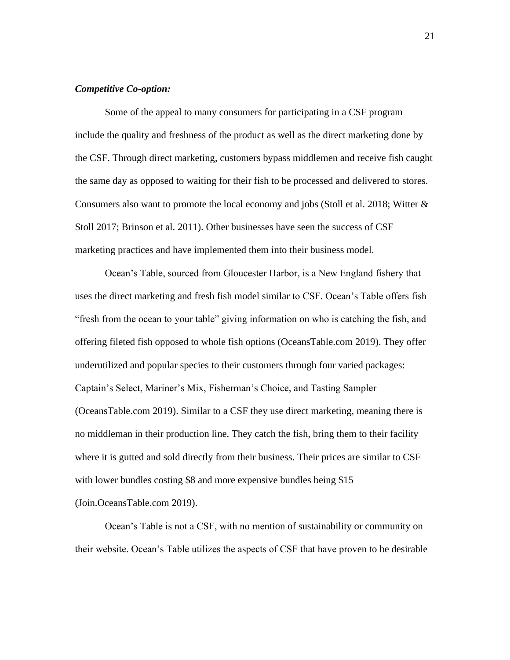## *Competitive Co-option:*

Some of the appeal to many consumers for participating in a CSF program include the quality and freshness of the product as well as the direct marketing done by the CSF. Through direct marketing, customers bypass middlemen and receive fish caught the same day as opposed to waiting for their fish to be processed and delivered to stores. Consumers also want to promote the local economy and jobs (Stoll et al. 2018; Witter  $\&$ Stoll 2017; Brinson et al. 2011). Other businesses have seen the success of CSF marketing practices and have implemented them into their business model.

Ocean's Table, sourced from Gloucester Harbor, is a New England fishery that uses the direct marketing and fresh fish model similar to CSF. Ocean's Table offers fish "fresh from the ocean to your table" giving information on who is catching the fish, and offering fileted fish opposed to whole fish options (OceansTable.com 2019). They offer underutilized and popular species to their customers through four varied packages: Captain's Select, Mariner's Mix, Fisherman's Choice, and Tasting Sampler (OceansTable.com 2019). Similar to a CSF they use direct marketing, meaning there is no middleman in their production line. They catch the fish, bring them to their facility where it is gutted and sold directly from their business. Their prices are similar to CSF with lower bundles costing \$8 and more expensive bundles being \$15 (Join.OceansTable.com 2019).

Ocean's Table is not a CSF, with no mention of sustainability or community on their website. Ocean's Table utilizes the aspects of CSF that have proven to be desirable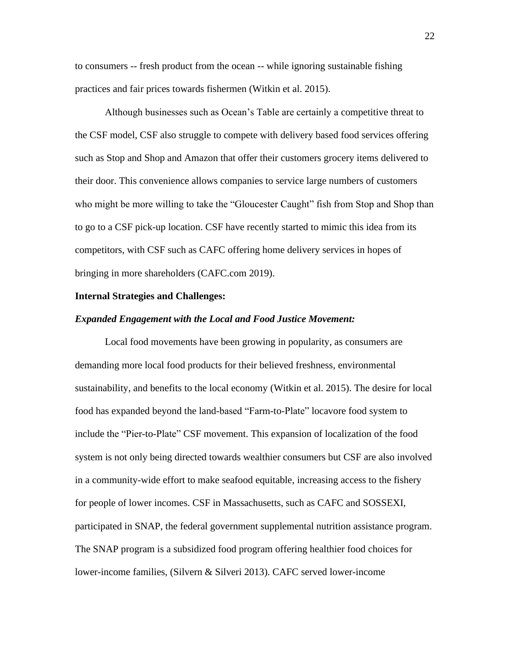to consumers -- fresh product from the ocean -- while ignoring sustainable fishing practices and fair prices towards fishermen (Witkin et al. 2015).

Although businesses such as Ocean's Table are certainly a competitive threat to the CSF model, CSF also struggle to compete with delivery based food services offering such as Stop and Shop and Amazon that offer their customers grocery items delivered to their door. This convenience allows companies to service large numbers of customers who might be more willing to take the "Gloucester Caught" fish from Stop and Shop than to go to a CSF pick-up location. CSF have recently started to mimic this idea from its competitors, with CSF such as CAFC offering home delivery services in hopes of bringing in more shareholders (CAFC.com 2019).

#### **Internal Strategies and Challenges:**

#### *Expanded Engagement with the Local and Food Justice Movement:*

Local food movements have been growing in popularity, as consumers are demanding more local food products for their believed freshness, environmental sustainability, and benefits to the local economy (Witkin et al. 2015). The desire for local food has expanded beyond the land-based "Farm-to-Plate" locavore food system to include the "Pier-to-Plate" CSF movement. This expansion of localization of the food system is not only being directed towards wealthier consumers but CSF are also involved in a community-wide effort to make seafood equitable, increasing access to the fishery for people of lower incomes. CSF in Massachusetts, such as CAFC and SOSSEXI, participated in SNAP, the federal government supplemental nutrition assistance program. The SNAP program is a subsidized food program offering healthier food choices for lower-income families, (Silvern & Silveri 2013). CAFC served lower-income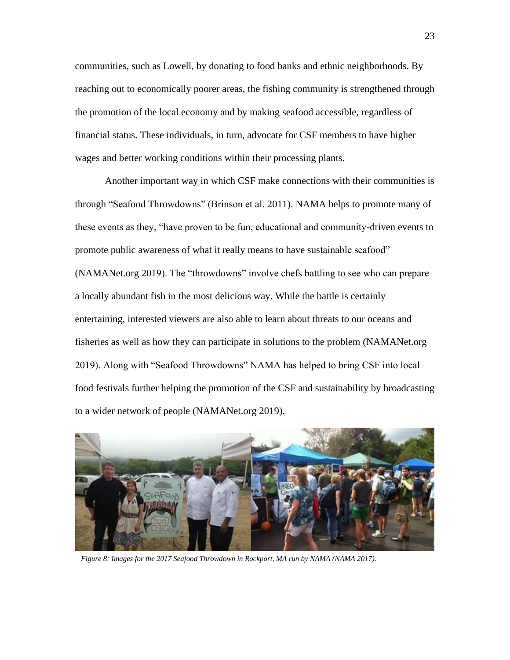communities, such as Lowell, by donating to food banks and ethnic neighborhoods. By reaching out to economically poorer areas, the fishing community is strengthened through the promotion of the local economy and by making seafood accessible, regardless of financial status. These individuals, in turn, advocate for CSF members to have higher wages and better working conditions within their processing plants.

Another important way in which CSF make connections with their communities is through "Seafood Throwdowns" (Brinson et al. 2011). NAMA helps to promote many of these events as they, "have proven to be fun, educational and community-driven events to promote public awareness of what it really means to have sustainable seafood" (NAMANet.org 2019). The "throwdowns" involve chefs battling to see who can prepare a locally abundant fish in the most delicious way. While the battle is certainly entertaining, interested viewers are also able to learn about threats to our oceans and fisheries as well as how they can participate in solutions to the problem (NAMANet.org 2019). Along with "Seafood Throwdowns" NAMA has helped to bring CSF into local food festivals further helping the promotion of the CSF and sustainability by broadcasting to a wider network of people (NAMANet.org 2019).



*Figure 8: Images for the 2017 Seafood Throwdown in Rockport, MA run by NAMA (NAMA 2017).*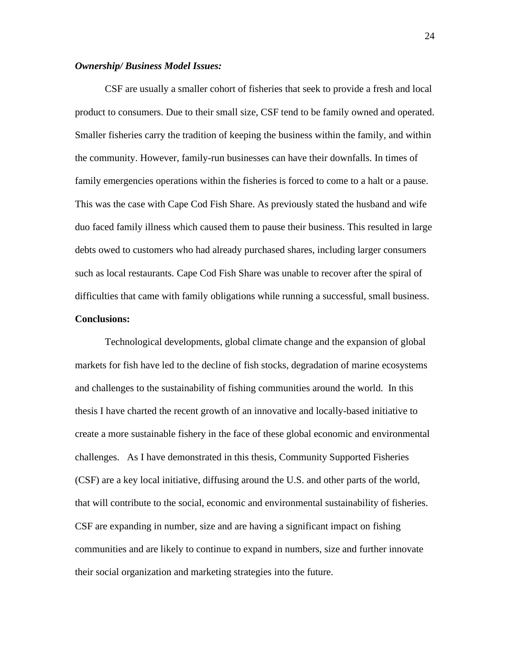#### *Ownership/ Business Model Issues:*

CSF are usually a smaller cohort of fisheries that seek to provide a fresh and local product to consumers. Due to their small size, CSF tend to be family owned and operated. Smaller fisheries carry the tradition of keeping the business within the family, and within the community. However, family-run businesses can have their downfalls. In times of family emergencies operations within the fisheries is forced to come to a halt or a pause. This was the case with Cape Cod Fish Share. As previously stated the husband and wife duo faced family illness which caused them to pause their business. This resulted in large debts owed to customers who had already purchased shares, including larger consumers such as local restaurants. Cape Cod Fish Share was unable to recover after the spiral of difficulties that came with family obligations while running a successful, small business.

## **Conclusions:**

Technological developments, global climate change and the expansion of global markets for fish have led to the decline of fish stocks, degradation of marine ecosystems and challenges to the sustainability of fishing communities around the world. In this thesis I have charted the recent growth of an innovative and locally-based initiative to create a more sustainable fishery in the face of these global economic and environmental challenges. As I have demonstrated in this thesis, Community Supported Fisheries (CSF) are a key local initiative, diffusing around the U.S. and other parts of the world, that will contribute to the social, economic and environmental sustainability of fisheries. CSF are expanding in number, size and are having a significant impact on fishing communities and are likely to continue to expand in numbers, size and further innovate their social organization and marketing strategies into the future.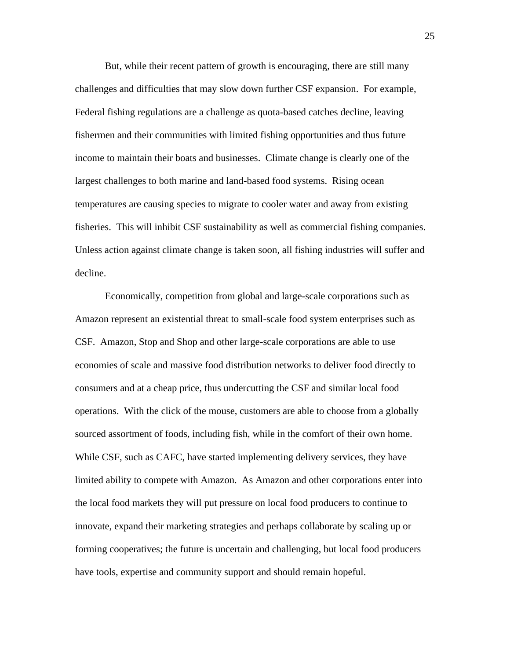But, while their recent pattern of growth is encouraging, there are still many challenges and difficulties that may slow down further CSF expansion. For example, Federal fishing regulations are a challenge as quota-based catches decline, leaving fishermen and their communities with limited fishing opportunities and thus future income to maintain their boats and businesses. Climate change is clearly one of the largest challenges to both marine and land-based food systems. Rising ocean temperatures are causing species to migrate to cooler water and away from existing fisheries. This will inhibit CSF sustainability as well as commercial fishing companies. Unless action against climate change is taken soon, all fishing industries will suffer and decline.

Economically, competition from global and large-scale corporations such as Amazon represent an existential threat to small-scale food system enterprises such as CSF. Amazon, Stop and Shop and other large-scale corporations are able to use economies of scale and massive food distribution networks to deliver food directly to consumers and at a cheap price, thus undercutting the CSF and similar local food operations. With the click of the mouse, customers are able to choose from a globally sourced assortment of foods, including fish, while in the comfort of their own home. While CSF, such as CAFC, have started implementing delivery services, they have limited ability to compete with Amazon. As Amazon and other corporations enter into the local food markets they will put pressure on local food producers to continue to innovate, expand their marketing strategies and perhaps collaborate by scaling up or forming cooperatives; the future is uncertain and challenging, but local food producers have tools, expertise and community support and should remain hopeful.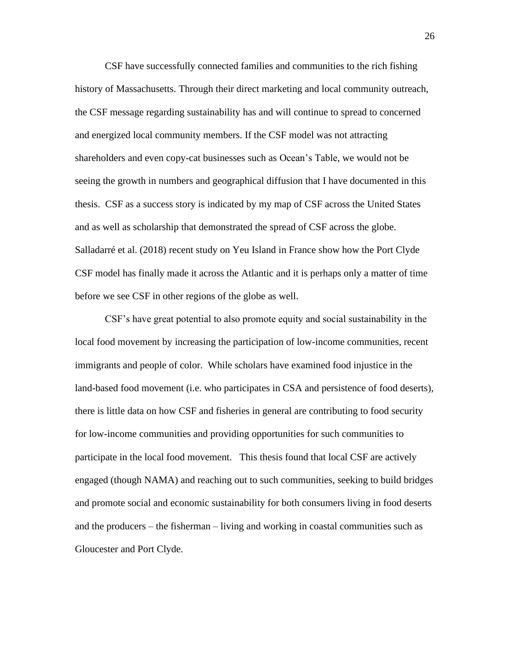CSF have successfully connected families and communities to the rich fishing history of Massachusetts. Through their direct marketing and local community outreach, the CSF message regarding sustainability has and will continue to spread to concerned and energized local community members. If the CSF model was not attracting shareholders and even copy-cat businesses such as Ocean's Table, we would not be seeing the growth in numbers and geographical diffusion that I have documented in this thesis. CSF as a success story is indicated by my map of CSF across the United States and as well as scholarship that demonstrated the spread of CSF across the globe. Salladarré et al. (2018) recent study on Yeu Island in France show how the Port Clyde CSF model has finally made it across the Atlantic and it is perhaps only a matter of time before we see CSF in other regions of the globe as well.

CSF's have great potential to also promote equity and social sustainability in the local food movement by increasing the participation of low-income communities, recent immigrants and people of color. While scholars have examined food injustice in the land-based food movement (i.e. who participates in CSA and persistence of food deserts), there is little data on how CSF and fisheries in general are contributing to food security for low-income communities and providing opportunities for such communities to participate in the local food movement. This thesis found that local CSF are actively engaged (though NAMA) and reaching out to such communities, seeking to build bridges and promote social and economic sustainability for both consumers living in food deserts and the producers – the fisherman – living and working in coastal communities such as Gloucester and Port Clyde.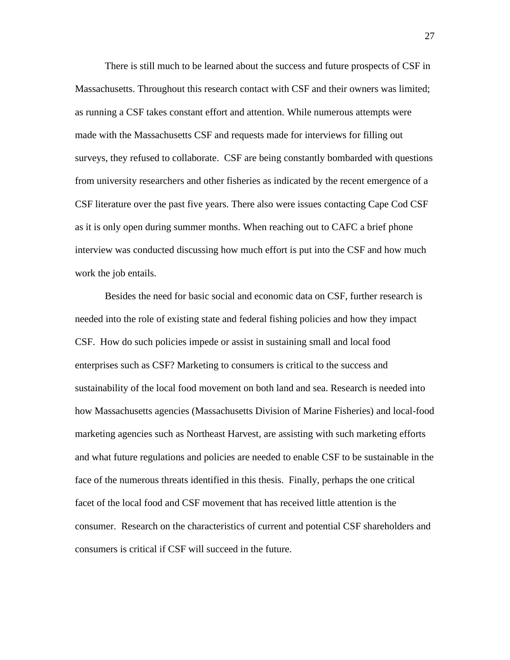There is still much to be learned about the success and future prospects of CSF in Massachusetts. Throughout this research contact with CSF and their owners was limited; as running a CSF takes constant effort and attention. While numerous attempts were made with the Massachusetts CSF and requests made for interviews for filling out surveys, they refused to collaborate. CSF are being constantly bombarded with questions from university researchers and other fisheries as indicated by the recent emergence of a CSF literature over the past five years. There also were issues contacting Cape Cod CSF as it is only open during summer months. When reaching out to CAFC a brief phone interview was conducted discussing how much effort is put into the CSF and how much work the job entails.

Besides the need for basic social and economic data on CSF, further research is needed into the role of existing state and federal fishing policies and how they impact CSF. How do such policies impede or assist in sustaining small and local food enterprises such as CSF? Marketing to consumers is critical to the success and sustainability of the local food movement on both land and sea. Research is needed into how Massachusetts agencies (Massachusetts Division of Marine Fisheries) and local-food marketing agencies such as Northeast Harvest, are assisting with such marketing efforts and what future regulations and policies are needed to enable CSF to be sustainable in the face of the numerous threats identified in this thesis. Finally, perhaps the one critical facet of the local food and CSF movement that has received little attention is the consumer. Research on the characteristics of current and potential CSF shareholders and consumers is critical if CSF will succeed in the future.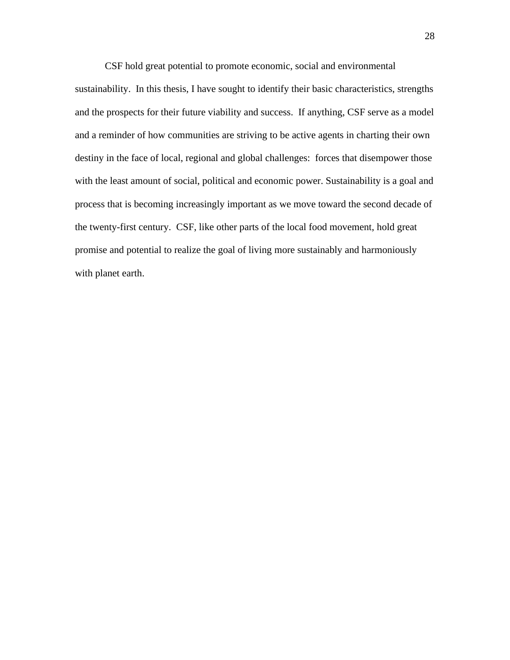CSF hold great potential to promote economic, social and environmental

sustainability. In this thesis, I have sought to identify their basic characteristics, strengths and the prospects for their future viability and success. If anything, CSF serve as a model and a reminder of how communities are striving to be active agents in charting their own destiny in the face of local, regional and global challenges: forces that disempower those with the least amount of social, political and economic power. Sustainability is a goal and process that is becoming increasingly important as we move toward the second decade of the twenty-first century. CSF, like other parts of the local food movement, hold great promise and potential to realize the goal of living more sustainably and harmoniously with planet earth.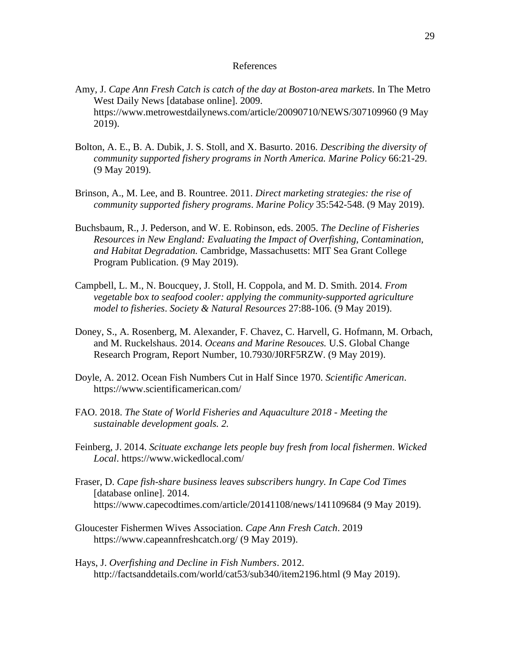#### References

- Amy, J. *Cape Ann Fresh Catch is catch of the day at Boston-area markets*. In The Metro West Daily News [database online]. 2009. https://www.metrowestdailynews.com/article/20090710/NEWS/307109960 (9 May 2019).
- Bolton, A. E., B. A. Dubik, J. S. Stoll, and X. Basurto. 2016. *Describing the diversity of community supported fishery programs in North America. Marine Policy* 66:21-29. (9 May 2019).
- Brinson, A., M. Lee, and B. Rountree. 2011. *Direct marketing strategies: the rise of community supported fishery programs*. *Marine Policy* 35:542-548. (9 May 2019).
- Buchsbaum, R., J. Pederson, and W. E. Robinson, eds. 2005. *The Decline of Fisheries Resources in New England: Evaluating the Impact of Overfishing, Contamination, and Habitat Degradation.* Cambridge, Massachusetts: MIT Sea Grant College Program Publication. (9 May 2019).
- Campbell, L. M., N. Boucquey, J. Stoll, H. Coppola, and M. D. Smith. 2014. *From vegetable box to seafood cooler: applying the community-supported agriculture model to fisheries*. *Society & Natural Resources* 27:88-106. (9 May 2019).
- Doney, S., A. Rosenberg, M. Alexander, F. Chavez, C. Harvell, G. Hofmann, M. Orbach, and M. Ruckelshaus. 2014. *Oceans and Marine Resouces.* U.S. Global Change Research Program, Report Number, 10.7930/J0RF5RZW. (9 May 2019).
- Doyle, A. 2012. Ocean Fish Numbers Cut in Half Since 1970. *Scientific American*. https://www.scientificamerican.com/
- FAO. 2018. *The State of World Fisheries and Aquaculture 2018 - Meeting the sustainable development goals. 2.*
- Feinberg, J. 2014. *Scituate exchange lets people buy fresh from local fishermen*. *Wicked Local*. https://www.wickedlocal.com/
- Fraser, D. *Cape fish-share business leaves subscribers hungry. In Cape Cod Times* [database online]. 2014. https://www.capecodtimes.com/article/20141108/news/141109684 (9 May 2019).
- Gloucester Fishermen Wives Association. *Cape Ann Fresh Catch*. 2019 https://www.capeannfreshcatch.org/ (9 May 2019).
- Hays, J. *Overfishing and Decline in Fish Numbers*. 2012. http://factsanddetails.com/world/cat53/sub340/item2196.html (9 May 2019).